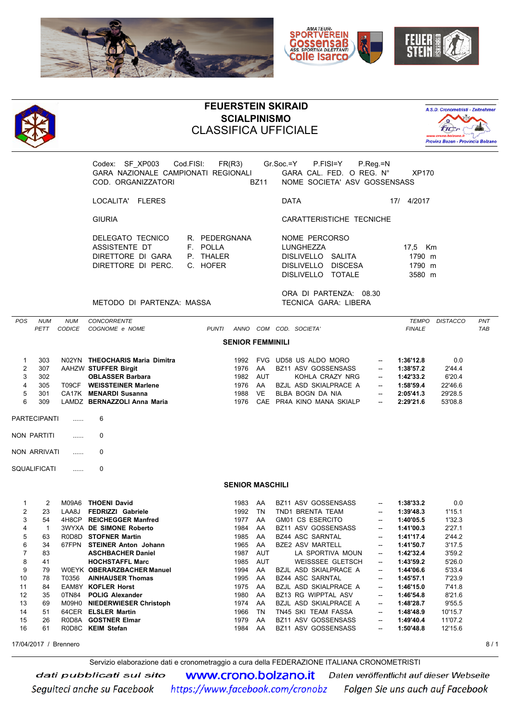





## **FEUERSTEIN SKIRAID SCIALPINISMO** CLASSIFICA UFFICIALE



Codex: SF\_XP003 Cod.FISI: FR(R3) Gr.Soc.=Y P.FISI=Y P.Reg.=N GARA NAZIONALE CAMPIONATI REGIONALI GARA CAL. FED. O REG. N° XP170 COD. ORGANIZZATORI BZ11 NOME SOCIETA' ASV GOSSENSASS

LOCALITA' FLERES DATA 17/ 4/2017

GIURIA CARATTERISTICHE TECNICHE

| DELEGATO TECNICO  | R. PEDERGNANA | NOME PERCORSO      |                       |
|-------------------|---------------|--------------------|-----------------------|
| ASSISTENTE DT     | E POLIA       | LUNGHEZZA          | 17.5 Km               |
| DIRETTORE DI GARA | P. THAIFR     | DISLIVELLO SALITA  | 1790 m                |
|                   |               | DISLIVELLO DISCESA | 1790 m                |
|                   |               | ---------------    | $\bullet - \bullet -$ |

| NOME PERCORSO      |  |         |  |  |  |  |  |  |
|--------------------|--|---------|--|--|--|--|--|--|
| LUNGHEZZA          |  | 17.5 Km |  |  |  |  |  |  |
| DISLIVELLO SALITA  |  | 1790 m  |  |  |  |  |  |  |
| DISLIVELLO DISCESA |  | 1790 m  |  |  |  |  |  |  |
| DISLIVELLO TOTALE  |  | 3580 m  |  |  |  |  |  |  |
|                    |  |         |  |  |  |  |  |  |

ORA DI PARTENZA: 08.30 METODO DI PARTENZA: MASSA TECNICA GARA: LIBERA

| POS            | <b>NUM</b><br><b>PETT</b> | <b>NUM</b><br><b>CODICE</b> | CONCORRENTE<br>COGNOME e NOME  | <b>PUNTI</b> |                         |            | ANNO COM COD. SOCIETA'     |                          | <b>TEMPO</b><br><b>FINALE</b> | <b>DISTACCO</b> | PNT<br><b>TAB</b> |
|----------------|---------------------------|-----------------------------|--------------------------------|--------------|-------------------------|------------|----------------------------|--------------------------|-------------------------------|-----------------|-------------------|
|                |                           |                             |                                |              | <b>SENIOR FEMMINILI</b> |            |                            |                          |                               |                 |                   |
| 1              | 303                       |                             | N02YN THEOCHARIS Maria Dimitra |              | 1992                    |            | FVG UD58 US ALDO MORO      | $\sim$                   | 1:36'12.8                     | 0.0             |                   |
| $\overline{2}$ | 307                       |                             | AAHZW STUFFER Birgit           |              | 1976                    | AA         | <b>BZ11 ASV GOSSENSASS</b> | ⊷                        | 1:38'57.2                     | 2'44.4          |                   |
| 3              | 302                       |                             | <b>OBLASSER Barbara</b>        |              | 1982                    | <b>AUT</b> | KOHLA CRAZY NRG            | $\overline{\phantom{a}}$ | 1:42'33.2                     | 6'20.4          |                   |
| 4              | 305                       | T09CF                       | <b>WEISSTEINER Marlene</b>     |              | 1976                    | AA         | BZJL ASD SKIALPRACE A      | $\overline{\phantom{a}}$ | 1:58'59.4                     | 22'46.6         |                   |
| 5              | 301                       |                             | CA17K MENARDI Susanna          |              | 1988                    | <b>VE</b>  | BLBA BOGN DA NIA           |                          | 2:05'41.3                     | 29'28.5         |                   |
| 6              | 309                       |                             | LAMDZ BERNAZZOLI Anna Maria    |              | 1976                    |            | CAE PR4A KINO MANA SKIALP  | $\sim$                   | 2:29'21.6                     | 53'08.8         |                   |
|                | <b>PARTECIPANTI</b>       | .                           | 6                              |              |                         |            |                            |                          |                               |                 |                   |
|                | NON PARTITI               | .                           | $\Omega$                       |              |                         |            |                            |                          |                               |                 |                   |
|                | <b>NON ARRIVATI</b>       | .                           | $\Omega$                       |              |                         |            |                            |                          |                               |                 |                   |
|                | <b>SQUALIFICATI</b>       | .                           | $\Omega$                       |              |                         |            |                            |                          |                               |                 |                   |
|                |                           |                             |                                |              | <b>SENIOR MASCHILI</b>  |            |                            |                          |                               |                 |                   |
| $\mathbf{1}$   | 2                         |                             | M09A6 THOENI David             |              | 1983                    | AA         | <b>BZ11 ASV GOSSENSASS</b> | $\overline{\phantom{a}}$ | 1:38'33.2                     | 0.0             |                   |
| $\overline{2}$ | 23                        | LAA8J                       | FEDRIZZI Gabriele              |              | 1992                    | <b>TN</b>  | TND1 BRENTA TEAM           | ⊷                        | 1:39'48.3                     | 1'15.1          |                   |
| 3              | 54                        |                             | 4H8CP REICHEGGER Manfred       |              | 1977                    | AA         | GM01 CS ESERCITO           | ⊷                        | 1:40'05.5                     | 1'32.3          |                   |
| 4              | $\mathbf{1}$              |                             | <b>3WYXA DE SIMONE Roberto</b> |              | 1984                    | AA         | <b>BZ11 ASV GOSSENSASS</b> | --                       | 1:41'00.3                     | 2'27.1          |                   |
| 5              | 63                        |                             | R0D8D STOFNER Martin           |              | 1985                    | AA         | <b>BZ44 ASC SARNTAL</b>    | ⊷                        | 1:41'17.4                     | 2'44.2          |                   |
| 6              | 34                        | 67FPN                       | <b>STEINER Anton Johann</b>    |              | 1965                    | AA         | <b>BZE2 ASV MARTELL</b>    | --                       | 1:41'50.7                     | 3'17.5          |                   |
| $\overline{7}$ | 83                        |                             | <b>ASCHBACHER Daniel</b>       |              | 1987                    | <b>AUT</b> | LA SPORTIVA MOUN           | $\overline{\phantom{a}}$ | 1:42'32.4                     | 3'59.2          |                   |
| 8              | 41                        |                             | <b>HOCHSTAFFL Marc</b>         |              | 1985                    | <b>AUT</b> | <b>WEISSSEE GLETSCH</b>    | $\overline{\phantom{a}}$ | 1:43'59.2                     | 5'26.0          |                   |
| 9              | 79                        |                             | W0EYK OBERARZBACHER Manuel     |              | 1994                    | AA         | BZJL ASD SKIALPRACE A      | -                        | 1:44'06.6                     | 5'33.4          |                   |
| 10             | 78                        | T0356                       | <b>AINHAUSER Thomas</b>        |              | 1995                    | AA         | <b>BZ44 ASC SARNTAL</b>    | $\sim$                   | 1:45'57.1                     | 7'23.9          |                   |
| 11             | 84                        |                             | <b>EAM8Y KOFLER Horst</b>      |              | 1975                    | AA         | BZJL ASD SKIALPRACE A      | $\sim$                   | 1:46'15.0                     | 7'41.8          |                   |
| 12             | 35                        | 0TN84                       | <b>POLIG Alexander</b>         |              | 1980                    | AA         | BZ13 RG WIPPTAL ASV        | --                       | 1:46'54.8                     | 8'21.6          |                   |
| 13             | 69                        |                             | M09H0 NIEDERWIESER Christoph   |              | 1974                    | AA         | BZJL ASD SKIALPRACE A      | --                       | 1:48'28.7                     | 9'55.5          |                   |
| 14             | 51                        |                             | 64CER ELSLER Martin            |              | 1966                    | TN         | TN45 SKI TEAM FASSA        | $\overline{\phantom{a}}$ | 1:48'48.9                     | 10'15.7         |                   |
| 15             | 26                        |                             | R0D8A GOSTNER Elmar            |              | 1979                    | AA         | <b>BZ11 ASV GOSSENSASS</b> | $\sim$                   | 1:49'40.4                     | 11'07.2         |                   |
| 16             | 61                        |                             | R0D8C KEIM Stefan              |              | 1984                    | AA         | <b>BZ11 ASV GOSSENSASS</b> | $\overline{\phantom{a}}$ | 1:50'48.8                     | 12'15.6         |                   |
|                | 17/04/2017 / Brennero     |                             |                                |              |                         |            |                            |                          |                               |                 | 8/1               |

Servizio elaborazione dati e cronometraggio a cura della FEDERAZIONE ITALIANA CRONOMETRISTI

**WWW.Crono.bolzano.it** Daten veröffentlicht auf dieser Webseite dati pubblicati sul sito https://www.facebook.com/cronobz Folgen Sie uns auch auf Facebook Seguiteci anche su Facebook